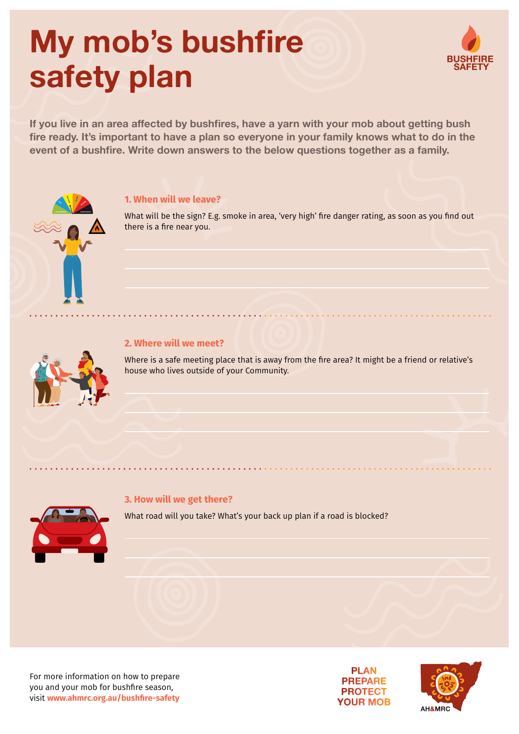# **My mob's bushfire safety plan**



If you live in an area affected by bushfires, have a yarn with your mob about getting bush **fire ready. It's important to have a plan so everyone in your family knows what to do in the event of a bushfire. Write down answers to the below questions together as a family.**

## **EXTREME SEVERE HIGH VERY HIGH**

#### **1. When will we leave?**

What will be the sign? E.g. smoke in area, 'very high' fire danger rating, as soon as you find out there is a fire near you.

### **2. Where will we meet?**

Where is a safe meeting place that is away from the fire area? It might be a friend or relative's house who lives outside of your Community.

#### **3. How will we get there?**

What road will you take? What's your back up plan if a road is blocked?



For more information on how to prepare you and your mob for bushfire season, visit **[www.ahmrc.org.au](http://www.ahmrc.org.au/bushfire-safety)/bushfire-safety**